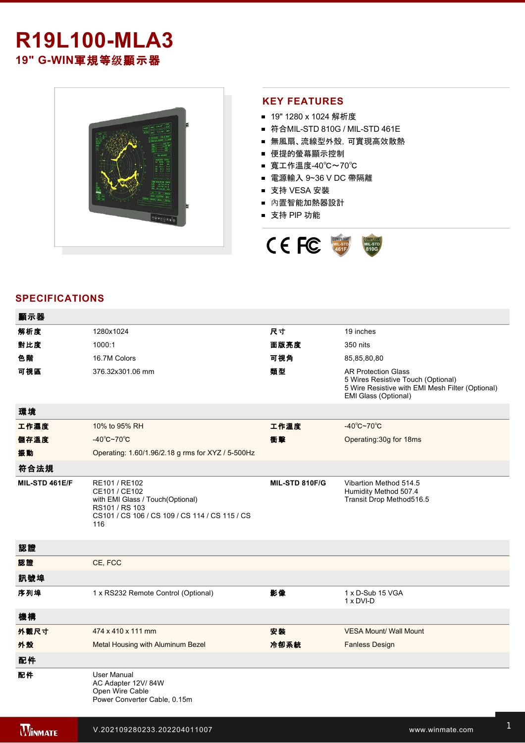# **R19L100-MLA3** 19" G-WIN軍規等级顯示器



## **KEY FEATURES**

- 19" 1280 x 1024 解析度
- 符合MIL-STD 810G / MIL-STD 461E
- 無風扇、流線型外殼,可實現高效散熱
- 便提的螢幕顯示控制
- 寬工作溫度-40℃~70℃
- 電源輸入 9~36 V DC 帶隔離
- 支持 VESA 安裝
- 內置智能加熱器設計
- 支持 PIP 功能



## **SPECIFICATIONS**

| 顯示器            |                                                                                                                                               |                |                                                                                                                                              |
|----------------|-----------------------------------------------------------------------------------------------------------------------------------------------|----------------|----------------------------------------------------------------------------------------------------------------------------------------------|
| 解析度            | 1280x1024                                                                                                                                     | 尺寸             | 19 inches                                                                                                                                    |
| 對比度            | 1000:1                                                                                                                                        | 面版亮度           | 350 nits                                                                                                                                     |
| 色階             | 16.7M Colors                                                                                                                                  | 可視角            | 85,85,80,80                                                                                                                                  |
| 可視區            | 376.32x301.06 mm                                                                                                                              | 類型             | <b>AR Protection Glass</b><br>5 Wires Resistive Touch (Optional)<br>5 Wire Resistive with EMI Mesh Filter (Optional)<br>EMI Glass (Optional) |
| 環境             |                                                                                                                                               |                |                                                                                                                                              |
| 工作濕度           | 10% to 95% RH                                                                                                                                 | 工作溫度           | $-40^{\circ}$ C $-70^{\circ}$ C                                                                                                              |
| 儲存溫度           | $-40^{\circ}$ C~70 $^{\circ}$ C                                                                                                               | 衝擊             | Operating: 30g for 18ms                                                                                                                      |
| 振動             | Operating: 1.60/1.96/2.18 g rms for XYZ / 5-500Hz                                                                                             |                |                                                                                                                                              |
| 符合法規           |                                                                                                                                               |                |                                                                                                                                              |
| MIL-STD 461E/F | RE101 / RE102<br>CE101 / CE102<br>with EMI Glass / Touch(Optional)<br>RS101 / RS 103<br>CS101 / CS 106 / CS 109 / CS 114 / CS 115 / CS<br>116 | MIL-STD 810F/G | Vibartion Method 514.5<br>Humidity Method 507.4<br>Transit Drop Method516.5                                                                  |
| 認證             |                                                                                                                                               |                |                                                                                                                                              |
| 認證             | CE, FCC                                                                                                                                       |                |                                                                                                                                              |
| 訊號埠            |                                                                                                                                               |                |                                                                                                                                              |
| 序列埠            | 1 x RS232 Remote Control (Optional)                                                                                                           | 影像             | 1 x D-Sub 15 VGA<br>1 x DVI-D                                                                                                                |
| 機構             |                                                                                                                                               |                |                                                                                                                                              |
| 外觀尺寸           | 474 x 410 x 111 mm                                                                                                                            | 安装             | <b>VESA Mount/ Wall Mount</b>                                                                                                                |
| 外殼             | Metal Housing with Aluminum Bezel                                                                                                             | 冷卻系統           | <b>Fanless Design</b>                                                                                                                        |
| 配件             |                                                                                                                                               |                |                                                                                                                                              |
| 配件             | <b>User Manual</b><br>AC Adapter 12V/84W<br>Open Wire Cable<br>Power Converter Cable, 0.15m                                                   |                |                                                                                                                                              |